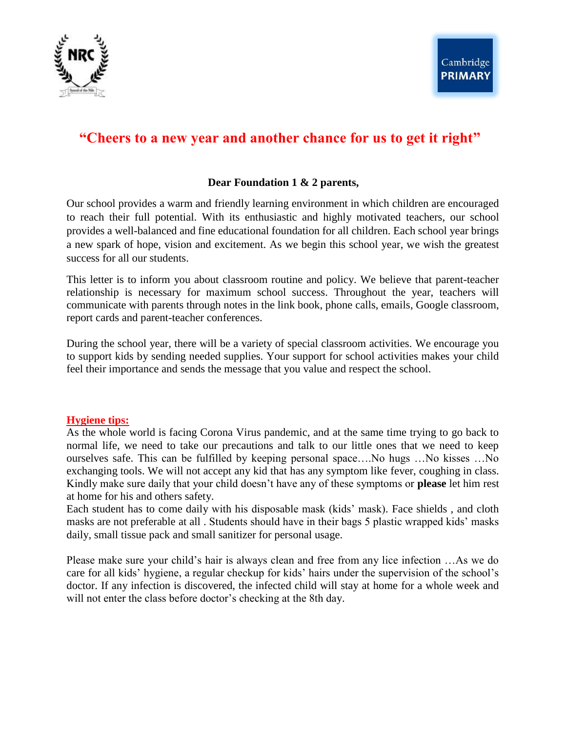

# **"Cheers to a new year and another chance for us to get it right"**

# **Dear Foundation 1 & 2 parents,**

Our school provides a warm and friendly learning environment in which children are encouraged to reach their full potential. With its enthusiastic and highly motivated teachers, our school provides a well-balanced and fine educational foundation for all children. Each school year brings a new spark of hope, vision and excitement. As we begin this school year, we wish the greatest success for all our students.

This letter is to inform you about classroom routine and policy. We believe that parent-teacher relationship is necessary for maximum school success. Throughout the year, teachers will communicate with parents through notes in the link book, phone calls, emails, Google classroom, report cards and parent-teacher conferences.

During the school year, there will be a variety of special classroom activities. We encourage you to support kids by sending needed supplies. Your support for school activities makes your child feel their importance and sends the message that you value and respect the school.

# **Hygiene tips:**

As the whole world is facing Corona Virus pandemic, and at the same time trying to go back to normal life, we need to take our precautions and talk to our little ones that we need to keep ourselves safe. This can be fulfilled by keeping personal space….No hugs …No kisses …No exchanging tools. We will not accept any kid that has any symptom like fever, coughing in class. Kindly make sure daily that your child doesn't have any of these symptoms or **please** let him rest at home for his and others safety.

Each student has to come daily with his disposable mask (kids' mask). Face shields , and cloth masks are not preferable at all . Students should have in their bags 5 plastic wrapped kids' masks daily, small tissue pack and small sanitizer for personal usage.

Please make sure your child's hair is always clean and free from any lice infection …As we do care for all kids' hygiene, a regular checkup for kids' hairs under the supervision of the school's doctor. If any infection is discovered, the infected child will stay at home for a whole week and will not enter the class before doctor's checking at the 8th day.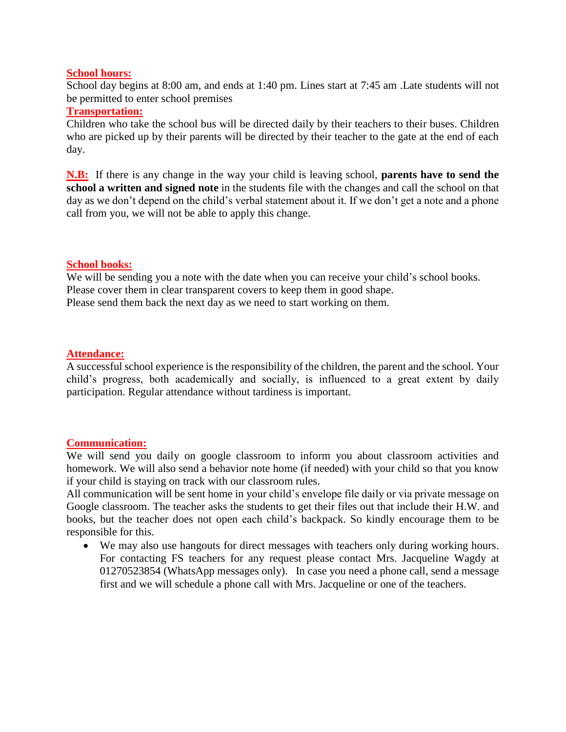## **School hours:**

School day begins at 8:00 am, and ends at 1:40 pm. Lines start at 7:45 am .Late students will not be permitted to enter school premises

## **Transportation:**

Children who take the school bus will be directed daily by their teachers to their buses. Children who are picked up by their parents will be directed by their teacher to the gate at the end of each day.

**N.B:** If there is any change in the way your child is leaving school, **parents have to send the school a written and signed note** in the students file with the changes and call the school on that day as we don't depend on the child's verbal statement about it. If we don't get a note and a phone call from you, we will not be able to apply this change.

## **School books:**

We will be sending you a note with the date when you can receive your child's school books. Please cover them in clear transparent covers to keep them in good shape. Please send them back the next day as we need to start working on them.

## **Attendance:**

A successful school experience is the responsibility of the children, the parent and the school. Your child's progress, both academically and socially, is influenced to a great extent by daily participation. Regular attendance without tardiness is important.

#### **Communication:**

We will send you daily on google classroom to inform you about classroom activities and homework. We will also send a behavior note home (if needed) with your child so that you know if your child is staying on track with our classroom rules.

All communication will be sent home in your child's envelope file daily or via private message on Google classroom. The teacher asks the students to get their files out that include their H.W. and books, but the teacher does not open each child's backpack. So kindly encourage them to be responsible for this.

 We may also use hangouts for direct messages with teachers only during working hours. For contacting FS teachers for any request please contact Mrs. Jacqueline Wagdy at 01270523854 (WhatsApp messages only). In case you need a phone call, send a message first and we will schedule a phone call with Mrs. Jacqueline or one of the teachers.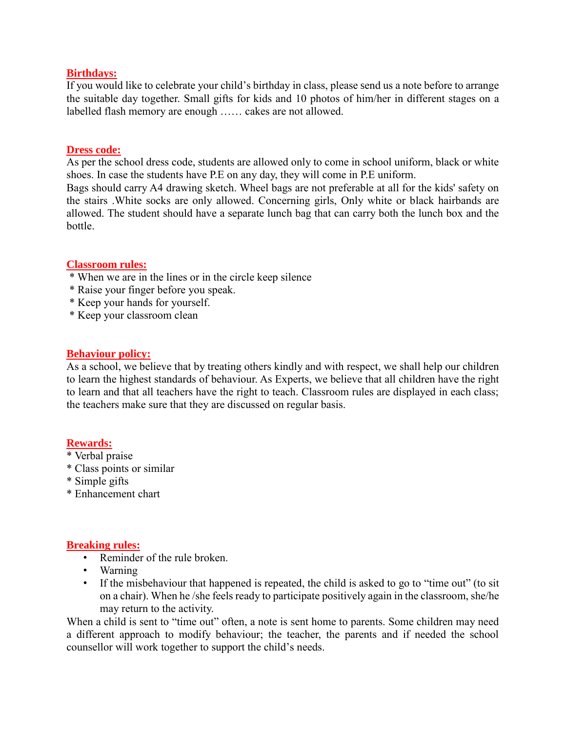#### **Birthdays:**

If you would like to celebrate your child's birthday in class, please send us a note before to arrange the suitable day together. Small gifts for kids and 10 photos of him/her in different stages on a labelled flash memory are enough …… cakes are not allowed.

#### **Dress code:**

As per the school dress code, students are allowed only to come in school uniform, black or white shoes. In case the students have P.E on any day, they will come in P.E uniform.

Bags should carry A4 drawing sketch. Wheel bags are not preferable at all for the kids' safety on the stairs .White socks are only allowed. Concerning girls, Only white or black hairbands are allowed. The student should have a separate lunch bag that can carry both the lunch box and the bottle.

#### **Classroom rules:**

- \* When we are in the lines or in the circle keep silence
- \* Raise your finger before you speak.
- \* Keep your hands for yourself.
- \* Keep your classroom clean

## **Behaviour policy:**

As a school, we believe that by treating others kindly and with respect, we shall help our children to learn the highest standards of behaviour. As Experts, we believe that all children have the right to learn and that all teachers have the right to teach. Classroom rules are displayed in each class; the teachers make sure that they are discussed on regular basis.

# **Rewards:**

- \* Verbal praise
- \* Class points or similar
- \* Simple gifts
- \* Enhancement chart

#### **Breaking rules:**

- Reminder of the rule broken.
- Warning
- If the misbehaviour that happened is repeated, the child is asked to go to "time out" (to sit on a chair). When he /she feels ready to participate positively again in the classroom, she/he may return to the activity.

When a child is sent to "time out" often, a note is sent home to parents. Some children may need a different approach to modify behaviour; the teacher, the parents and if needed the school counsellor will work together to support the child's needs.